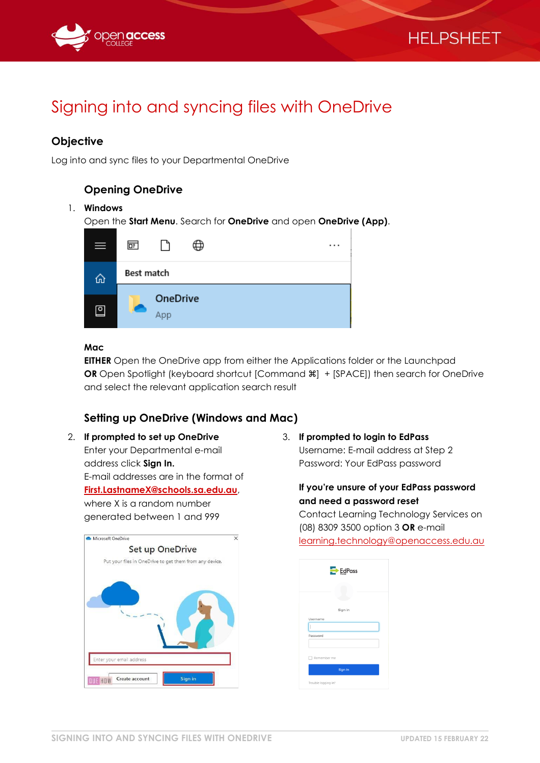



# Signing into and syncing files with OneDrive

# **Objective**

Log into and sync files to your Departmental OneDrive

# **Opening OneDrive**

#### 1. **Windows**

Open the **Start Menu**. Search for **OneDrive** and open **OneDrive (App)**.

| $\equiv$                 | 匣                      | . |
|--------------------------|------------------------|---|
| ⋒                        | Best match             |   |
| $\overline{\phantom{0}}$ | <b>OneDrive</b><br>App |   |

#### **Mac**

**EITHER** Open the OneDrive app from either the Applications folder or the Launchpad **OR** Open Spotlight (keyboard shortcut [Command  $\mathcal{H}$ ] + [SPACE]) then search for OneDrive and select the relevant application search result

## **Setting up OneDrive (Windows and Mac)**

2. **If prompted to set up OneDrive** Enter your Departmental e-mail address click **Sign In.** E-mail addresses are in the format of **[First.LastnameX@schools.sa.edu.au](mailto:First.LastnameX@schools.sa.edu.au)**, where X is a random number generated between 1 and 999



3. **If prompted to login to EdPass** Username: E-mail address at Step 2 Password: Your EdPass password

#### **If you're unsure of your EdPass password and need a password reset**

Contact Learning Technology Services on (08) 8309 3500 option 3 **OR** e-mail

[learning.technology@openaccess.edu.au](mailto:learning.technology@openaccess.edu.au)

| $Eg$ EdPass         |
|---------------------|
|                     |
| Sign in             |
| Username<br>I       |
| Password            |
| Remember me         |
| Sign In             |
| Trouble logging in? |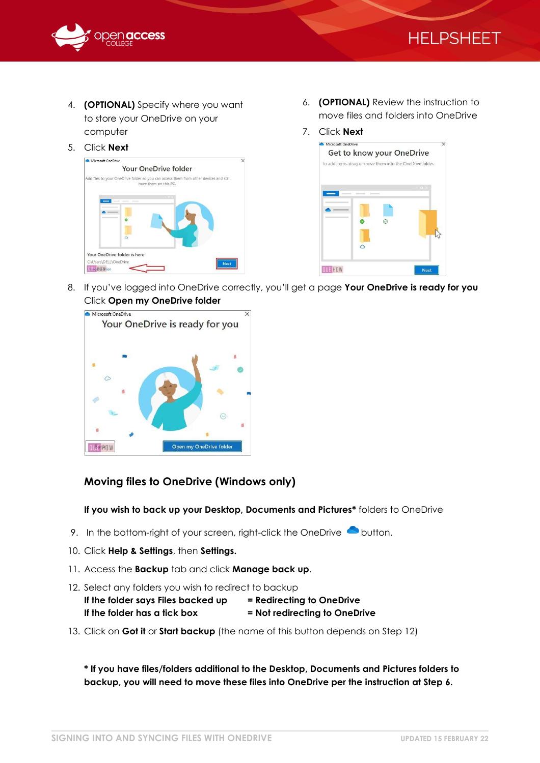



- 4. **(OPTIONAL)** Specify where you want to store your OneDrive on your computer
- 5. Click **Next**



- 6. **(OPTIONAL)** Review the instruction to move files and folders into OneDrive
- 7. Click **Next**



8. If you've logged into OneDrive correctly, you'll get a page **Your OneDrive is ready for you** Click **Open my OneDrive folder**



### **Moving files to OneDrive (Windows only)**

**If you wish to back up your Desktop, Documents and Pictures\*** folders to OneDrive

- 9. In the bottom-right of your screen, right-click the OneDrive  $\bullet$  button.
- 10. Click **Help & Settings**, then **Settings.**
- 11. Access the **Backup** tab and click **Manage back up**.
- 12. Select any folders you wish to redirect to backup

| If the folder says Files backed up | = Redirecting to OneDrive     |
|------------------------------------|-------------------------------|
| If the folder has a fick box       | = Not redirecting to OneDrive |

13. Click on **Got it** or **Start backup** (the name of this button depends on Step 12)

**\* If you have files/folders additional to the Desktop, Documents and Pictures folders to backup, you will need to move these files into OneDrive per the instruction at Step 6.**